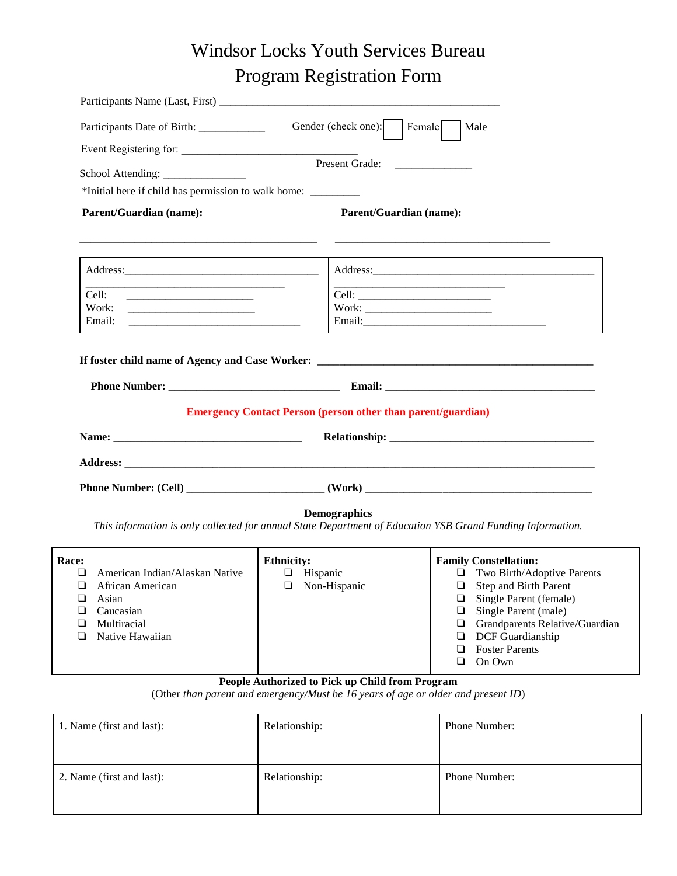# Windsor Locks Youth Services Bureau Program Registration Form

|                                                                                                                       | Participants Name (Last, First)                                                                                                        |
|-----------------------------------------------------------------------------------------------------------------------|----------------------------------------------------------------------------------------------------------------------------------------|
| Participants Date of Birth:                                                                                           | Gender (check one): Female<br>Male                                                                                                     |
| Event Registering for:                                                                                                |                                                                                                                                        |
| School Attending: _______________                                                                                     | Present Grade:<br><u> 1980 - Jan Jan Jawa Barat, prima prima prima prima prima prima prima prima prima prima prima prima prima pri</u> |
| *Initial here if child has permission to walk home: _____________________________                                     |                                                                                                                                        |
| <b>Parent/Guardian (name):</b>                                                                                        | <b>Parent/Guardian (name):</b>                                                                                                         |
| and the state of the state of the state of the state of the state of the state of the state of the state of the       |                                                                                                                                        |
| <u> 1989 - Johann Barbara, martin da basar da basar da basar da basar da basar da basar da basar da basar da basa</u> |                                                                                                                                        |
| Cell:<br><u> 1989 - Johann Barbara, martxa al III-lea (h. 1989).</u><br>Work:                                         |                                                                                                                                        |
| Email:                                                                                                                |                                                                                                                                        |
|                                                                                                                       | If foster child name of Agency and Case Worker: _________________________________                                                      |
|                                                                                                                       |                                                                                                                                        |
|                                                                                                                       | <b>Emergency Contact Person (person other than parent/guardian)</b>                                                                    |
|                                                                                                                       |                                                                                                                                        |
|                                                                                                                       |                                                                                                                                        |
|                                                                                                                       |                                                                                                                                        |
|                                                                                                                       | <b>Demographics</b>                                                                                                                    |
|                                                                                                                       | This information is only collected for annual State Department of Education YSB Grand Funding Information.                             |

| <b>Race:</b> |                                | <b>Ethnicity:</b> | <b>Family Constellation:</b>          |
|--------------|--------------------------------|-------------------|---------------------------------------|
|              | American Indian/Alaskan Native | Hispanic          | Two Birth/Adoptive Parents<br>⊔       |
|              | African American               | Non-Hispanic      | Step and Birth Parent                 |
|              | Asian                          |                   | Single Parent (female)                |
|              | Caucasian                      |                   | Single Parent (male)                  |
|              | Multiracial                    |                   | $\Box$ Grandparents Relative/Guardian |
|              | Native Hawaiian                |                   | $\Box$ DCF Guardianship               |
|              |                                |                   | <b>Foster Parents</b>                 |
|              |                                |                   | On Own                                |

#### **People Authorized to Pick up Child from Program**

(Other *than parent and emergency/Must be 16 years of age or older and present ID*)

| 1. Name (first and last): | Relationship: | <b>Phone Number:</b> |
|---------------------------|---------------|----------------------|
| 2. Name (first and last): | Relationship: | <b>Phone Number:</b> |